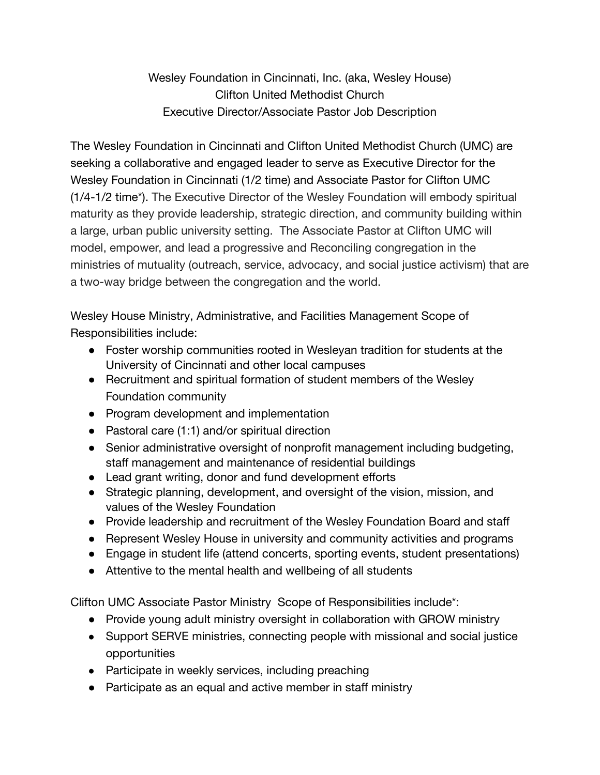Wesley Foundation in Cincinnati, Inc. (aka, Wesley House) Clifton United Methodist Church Executive Director/Associate Pastor Job Description

The Wesley Foundation in Cincinnati and Clifton United Methodist Church (UMC) are seeking a collaborative and engaged leader to serve as Executive Director for the Wesley Foundation in Cincinnati (1/2 time) and Associate Pastor for Clifton UMC (1/4-1/2 time\*). The Executive Director of the Wesley Foundation will embody spiritual maturity as they provide leadership, strategic direction, and community building within a large, urban public university setting. The Associate Pastor at Clifton UMC will model, empower, and lead a progressive and Reconciling congregation in the ministries of mutuality (outreach, service, advocacy, and social justice activism) that are a two-way bridge between the congregation and the world.

Wesley House Ministry, Administrative, and Facilities Management Scope of Responsibilities include:

- Foster worship communities rooted in Wesleyan tradition for students at the University of Cincinnati and other local campuses
- Recruitment and spiritual formation of student members of the Wesley Foundation community
- Program development and implementation
- Pastoral care (1:1) and/or spiritual direction
- Senior administrative oversight of nonprofit management including budgeting, staff management and maintenance of residential buildings
- Lead grant writing, donor and fund development efforts
- Strategic planning, development, and oversight of the vision, mission, and values of the Wesley Foundation
- Provide leadership and recruitment of the Wesley Foundation Board and staff
- Represent Wesley House in university and community activities and programs
- Engage in student life (attend concerts, sporting events, student presentations)
- Attentive to the mental health and wellbeing of all students

Clifton UMC Associate Pastor Ministry Scope of Responsibilities include\*:

- Provide young adult ministry oversight in collaboration with GROW ministry
- Support SERVE ministries, connecting people with missional and social justice opportunities
- Participate in weekly services, including preaching
- Participate as an equal and active member in staff ministry